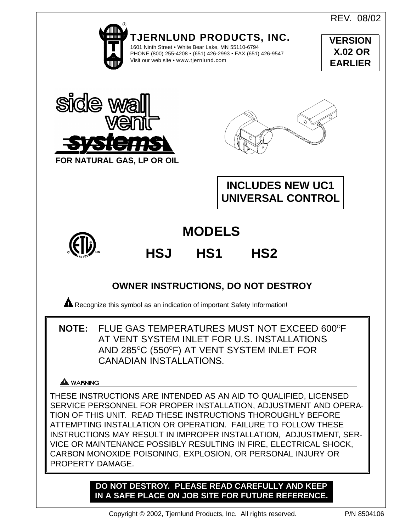REV. 08/02



**DO NOT DESTROY. PLEASE READ CAREFULLY AND KEEP IN A SAFE PLACE ON JOB SITE FOR FUTURE REFERENCE.**

PROPERTY DAMAGE.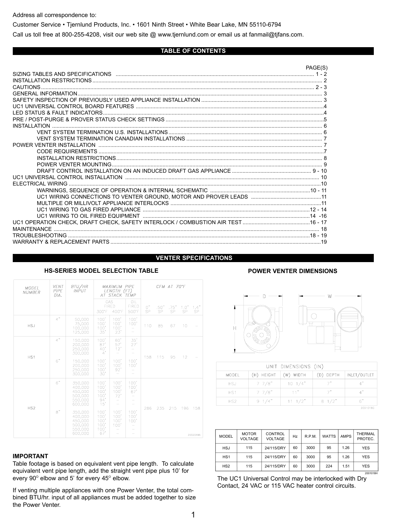Address all correspondence to:

Customer Service • Tjernlund Products, Inc. • 1601 Ninth Street • White Bear Lake, MN 55110-6794

Call us toll free at 800-255-4208, visit our web site @ www.tjernlund.com or email us at fanmail@tjfans.com.

#### **TABLE OF CONTENTS**

|                                                                                             | PAGE(S) |
|---------------------------------------------------------------------------------------------|---------|
| SIZING TABLES AND SPECIFICATIONS <b>CONSCIPTION</b> CONTROLS AND RESEARCH THE RESEARCH OF 2 |         |
|                                                                                             |         |
|                                                                                             |         |
|                                                                                             |         |
|                                                                                             |         |
|                                                                                             |         |
|                                                                                             |         |
|                                                                                             |         |
| INSTALL ATION                                                                               |         |
|                                                                                             |         |
|                                                                                             |         |
|                                                                                             |         |
|                                                                                             |         |
|                                                                                             |         |
|                                                                                             |         |
|                                                                                             |         |
|                                                                                             |         |
| FI FCTRICAL WIRING                                                                          |         |
|                                                                                             |         |
|                                                                                             |         |
|                                                                                             |         |
|                                                                                             | -16     |
|                                                                                             |         |
| MAINTFNANCF                                                                                 |         |
|                                                                                             |         |
|                                                                                             |         |
|                                                                                             |         |

#### **VENTER SPECIFICATIONS**

| <b>MODEL</b><br><b>NUMBER</b> | <b>VENT</b><br><b>PIPE</b><br>DIA. | BTU/HR<br><b>INPUT</b>                                                    | <i><b>MAXIMUM PIPE</b></i><br>LENGTH (FT)<br>AT STACK TEMP |                                     |                                 |          |                   | CFM AT 70°F |            |             |
|-------------------------------|------------------------------------|---------------------------------------------------------------------------|------------------------------------------------------------|-------------------------------------|---------------------------------|----------|-------------------|-------------|------------|-------------|
|                               |                                    |                                                                           | 300°F                                                      | GAS<br><b>FIRED</b><br>400°F        | OIL<br><b>FIRED</b><br>500°F    | 0"<br>SP | .50"<br><b>SP</b> | .75"<br>SP  | 1.0"<br>SP | 1.4"<br>SP. |
| <b>HSJ</b>                    | 4"                                 | 50.000<br>75,000<br>100,000<br>125,000                                    | 100'<br>100'<br>100'<br>35'                                | 100'<br>100'<br>100'<br>23'         | 100'<br>100'<br>-               | 110      | 85                | 67          | 10         |             |
| HS <sub>1</sub>               | 4"<br>6"                           | 150.000<br>200.000<br>250,000<br>300.000<br>150,000<br>200.000            | 100'<br>87'<br>40'<br>4'<br>100'<br>100'                   | 60'<br>57'<br>12'<br>100'<br>100'   | 35'<br>27'<br>-<br>100'<br>100' | 158      | 115               | 95          | 12         |             |
|                               |                                    | 250,000<br>300.000                                                        | 100'<br>30'                                                | 92'                                 |                                 |          |                   |             |            |             |
| HS <sub>2</sub>               | 6"<br>8"                           | 350.000<br>400,000<br>450,000<br>500.000<br>550.000<br>600,000<br>350.000 | 100'<br>100'<br>100<br>100'<br>94'<br>15'<br>100'          | 100'<br>100'<br>100'<br>72'<br>100' | 100'<br>100'<br>67'<br>100'     | 286      | 235               | 215         | 196        | 158         |
|                               |                                    | 400.000<br>450,000<br>500.000<br>550,000<br>600,000                       | 100'<br>100'<br>100'<br>100'<br>67'                        | 100'<br>100'<br>100'                | 100'<br>100'                    |          |                   |             |            | 200204BA    |

#### **HS-SERIES MODEL SELECTION TABLE POWER VENTER DIMENSIONS**

#### **IMPORTANT**

Table footage is based on equivalent vent pipe length. To calculate equivalent vent pipe length, add the straight vent pipe plus 10' for every  $90^\circ$  elbow and 5' for every  $45^\circ$  elbow.

If venting multiple appliances with one Power Venter, the total combined BTU/hr. input of all appliances must be added together to size the Power Venter.





| UNIT DIMENSIONS (IN) |                 |                  |                 |              |  |  |  |
|----------------------|-----------------|------------------|-----------------|--------------|--|--|--|
| <b>MODEL</b>         | (H) HEIGHT      | WIDTH<br>(W)     | (D) DEPTH       | INLET/OUTLET |  |  |  |
| <b>HSJ</b>           | 77/8"           | $10 \frac{1}{4}$ |                 | 4"           |  |  |  |
| HS <sub>1</sub>      | $7 \frac{7}{8}$ | 11 <sup>n</sup>  | 7"              | 4"           |  |  |  |
| HS2                  | $9 \frac{1}{4}$ | $11 \t1/2"$      | $8 \frac{1}{2}$ | 6"           |  |  |  |
|                      |                 |                  |                 | 20010180     |  |  |  |

| <b>MODEL</b>    | <b>MOTOR</b><br><b>VOLTAGE</b> | <b>CONTROL</b><br><b>VOLTAGE</b> | Hz | R.P.M. | <b>WATTS</b> | <b>AMPS</b> | THERMAL<br>PROTEC. |  |
|-----------------|--------------------------------|----------------------------------|----|--------|--------------|-------------|--------------------|--|
| <b>HSJ</b>      | 115                            | 24/115/DRY                       | 60 | 3000   | 95           | 1.26        | <b>YES</b>         |  |
| HS <sub>1</sub> | 115                            | 24/115/DRY                       | 60 | 3000   | 95           | 1.26        | <b>YES</b>         |  |
| HS <sub>2</sub> | 115                            | 24/115/DRY                       | 60 | 3000   | 224          | 1.51        | <b>YES</b>         |  |
|                 | 2001018H                       |                                  |    |        |              |             |                    |  |

The UC1 Universal Control may be interlocked with Dry Contact, 24 VAC or 115 VAC heater control circuits.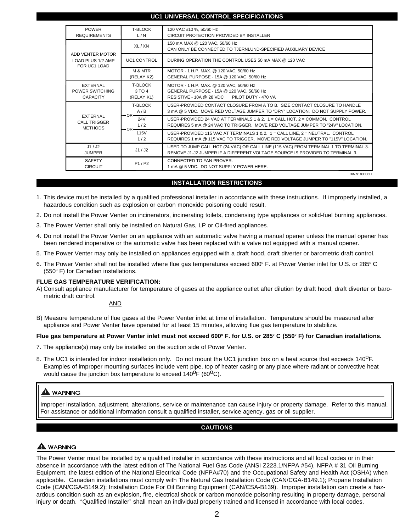#### **UC1 UNIVERSAL CONTROL SPECIFICATIONS**

| <b>POWER</b><br><b>REQUIREMENTS</b>                   | T-BLOCK<br>L/N                         | 120 VAC ±10 %, 50/60 Hz<br>CIRCUIT PROTECTION PROVIDED BY INSTALLER                                                                                                  |
|-------------------------------------------------------|----------------------------------------|----------------------------------------------------------------------------------------------------------------------------------------------------------------------|
|                                                       | XL / XN                                | 150 mA MAX @ 120 VAC, 50/60 Hz<br>CAN ONLY BE CONNECTED TO TJERNLUND-SPECIFIED AUXILIARY DEVICE                                                                      |
| ADD VENTER MOTOR<br>LOAD PLUS 1/2 AMP<br>FOR UC1 LOAD | <b>UC1 CONTROL</b>                     | DURING OPERATION THE CONTROL USES 50 mA MAX @ 120 VAC                                                                                                                |
|                                                       | M & MTR<br>(RELAY K2)                  | MOTOR - 1 H.P. MAX. @ 120 VAC, 50/60 Hz<br>GENERAL PURPOSE - 15A @ 120 VAC, 50/60 Hz                                                                                 |
| <b>EXTERNAL</b><br>POWER SWITCHING<br><b>CAPACITY</b> | <b>T-BLOCK</b><br>3 TO 4<br>(RELAY K1) | MOTOR - 1 H.P. MAX. @ 120 VAC, 50/60 Hz<br>GENERAL PURPOSE - 15A @ 120 VAC, 50/60 Hz<br>PILOT DUTY - 470 VA<br>RESISTIVE - 10A @ 28 VDC                              |
| EXTERNAL<br><b>CALL TRIGGER</b><br><b>METHODS</b>     | <b>T-BLOCK</b><br>A/B<br>$-OR-$        | USER-PROVIDED CONTACT CLOSURE FROM A TO B. SIZE CONTACT CLOSURE TO HANDLE<br>3 mA @ 5 VDC. MOVE RED VOLTAGE JUMPER TO "DRY" LOCATION. DO NOT SUPPLY POWER.           |
|                                                       | <b>24V</b><br>1/2<br>$-OR-$            | USER-PROVIDED 24 VAC AT TERMINALS 1 & 2. $1 =$ CALL HOT, $2 =$ COMMON. CONTROL<br>REQUIRES 5 mA @ 24 VAC TO TRIGGER. MOVE RED VOLTAGE JUMPER TO "24V" LOCATION.      |
|                                                       | 115V<br>1/2                            | USER-PROVIDED 115 VAC AT TERMINALS 1 & 2. $1 =$ CALL LINE, $2 =$ NEUTRAL, CONTROL<br>REQUIRES 1 mA @ 115 VAC TO TRIGGER. MOVE RED VOLTAGE JUMPER TO "115V" LOCATION. |
| J1/J2<br><b>JUMPER</b>                                | J1/J2                                  | USED TO JUMP CALL HOT (24 VAC) OR CALL LINE (115 VAC) FROM TERMINAL 1 TO TERMINAL 3.<br>REMOVE J1-J2 JUMPER IF A DIFFERENT VOLTAGE SOURCE IS PROVIDED TO TERMINAL 3. |
| <b>SAFETY</b><br><b>CIRCUIT</b>                       | P1/P2                                  | CONNECTED TO FAN PROVER.<br>1 mA @ 5 VDC. DO NOT SUPPLY POWER HERE.                                                                                                  |
|                                                       |                                        | D/N 9183006H                                                                                                                                                         |

#### **INSTALLATION RESTRICTIONS**

- 1. This device must be installed by a qualified professional installer in accordance with these instructions. If improperly installed, a hazardous condition such as explosion or carbon monoxide poisoning could result.
- 2. Do not install the Power Venter on incinerators, incinerating toilets, condensing type appliances or solid-fuel burning appliances.
- 3. The Power Venter shall only be installed on Natural Gas, LP or Oil-fired appliances.
- 4. Do not install the Power Venter on an appliance with an automatic valve having a manual opener unless the manual opener has been rendered inoperative or the automatic valve has been replaced with a valve not equipped with a manual opener.
- 5. The Power Venter may only be installed on appliances equipped with a draft hood, draft diverter or barometric draft control.
- 6. The Power Venter shall not be installed where flue gas temperatures exceed 600° F. at Power Venter inlet for U.S. or 285° C  $(550^\circ)$  F) for Canadian installations.

#### **FLUE GAS TEMPERATURE VERIFICATION:**

A) Consult appliance manufacturer for temperature of gases at the appliance outlet after dilution by draft hood, draft diverter or barometric draft control.

#### AND

B) Measure temperature of flue gases at the Power Venter inlet at time of installation. Temperature should be measured after appliance and Power Venter have operated for at least 15 minutes, allowing flue gas temperature to stabilize.

#### **Flue gas temperature at Power Venter inlet must not exceed 600<sup>0</sup> F. for U.S. or 285<sup>0</sup> C (550<sup>0</sup> F) for Canadian installations.**

- 7. The appliance(s) may only be installed on the suction side of Power Venter.
- 8. The UC1 is intended for indoor installation only. Do not mount the UC1 junction box on a heat source that exceeds 140<sup>0</sup>F. Examples of improper mounting surfaces include vent pipe, top of heater casing or any place where radiant or convective heat would cause the junction box temperature to exceed  $140^{\circ}F$  (60 $^{\circ}C$ ).

## A WARNING

Improper installation, adjustment, alterations, service or maintenance can cause injury or property damage. Refer to this manual. For assistance or additional information consult a qualified installer, service agency, gas or oil supplier.

## **CAUTIONS**

## A WARNING

The Power Venter must be installed by a qualified installer in accordance with these instructions and all local codes or in their absence in accordance with the latest edition of The National Fuel Gas Code (ANSI Z223.1/NFPA #54), NFPA # 31 Oil Burning Equipment, the latest edition of the National Electrical Code (NFPA#70) and the Occupational Safety and Health Act (OSHA) when applicable. Canadian installations must comply with The Natural Gas Installation Code (CAN/CGA-B149.1); Propane Installation Code (CAN/CGA-B149.2); Installation Code For Oil Burning Equipment (CAN/CSA-B139). Improper installation can create a hazardous condition such as an explosion, fire, electrical shock or carbon monoxide poisoning resulting in property damage, personal injury or death. "Qualified Installer" shall mean an individual properly trained and licensed in accordance with local codes.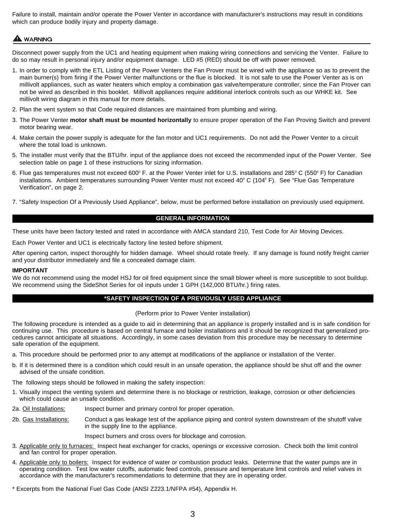Failure to install, maintain and/or operate the Power Venter in accordance with manufacturer's instructions may result in conditions which can produce bodily injury and property damage.

# A WARNING

Disconnect power supply from the UC1 and heating equipment when making wiring connections and servicing the Venter. Failure to do so may result in personal injury and/or equipment damage. LED #5 (RED) should be off with power removed.

- 1. In order to comply with the ETL Listing of the Power Venters the Fan Prover must be wired with the appliance so as to prevent the main burner(s) from firing if the Power Venter malfunctions or the flue is blocked. It is not safe to use the Power Venter as is on millivolt appliances, such as water heaters which employ a combination gas valve/temperature controller, since the Fan Prover can not be wired as described in this booklet. Millivolt appliances require additional interlock controls such as our WHKE kit. See millivolt wiring diagram in this manual for more details.
- 2. Plan the vent system so that Code required distances are maintained from plumbing and wiring.
- 3. The Power Venter **motor shaft must be mounted horizontally** to ensure proper operation of the Fan Proving Switch and prevent motor bearing wear.
- 4. Make certain the power supply is adequate for the fan motor and UC1 requirements. Do not add the Power Venter to a circuit where the total load is unknown.
- 5. The installer must verify that the BTU/hr. input of the appliance does not exceed the recommended input of the Power Venter. See selection table on page 1 of these instructions for sizing information.
- 6. Flue gas temperatures must not exceed 600 $^{\circ}$  F. at the Power Venter inlet for U.S. installations and 285 $^{\circ}$  C (550 $^{\circ}$  F) for Canadian installations. Ambient temperatures surrounding Power Venter must not exceed 40 $^{\circ}$  C (104 $^{\circ}$  F). See "Flue Gas Temperature Verification", on page 2.
- 7. "Safety Inspection Of a Previously Used Appliance", below, must be performed before installation on previously used equipment.

### **GENERAL INFORMATION**

These units have been factory tested and rated in accordance with AMCA standard 210, Test Code for Air Moving Devices.

Each Power Venter and UC1 is electrically factory line tested before shipment.

After opening carton, inspect thoroughly for hidden damage. Wheel should rotate freely. If any damage is found notify freight carrier and your distributor immediately and file a concealed damage claim.

#### **IMPORTANT**

We do not recommend using the model HSJ for oil fired equipment since the small blower wheel is more susceptible to soot buildup. We recommend using the SideShot Series for oil inputs under 1 GPH (142,000 BTU/hr.) firing rates.

#### **\*SAFETY INSPECTION OF A PREVIOUSLY USED APPLIANCE**

#### (Perform prior to Power Venter installation)

The following procedure is intended as a guide to aid in determining that an appliance is properly installed and is in safe condition for continuing use. This procedure is based on central furnace and boiler installations and it should be recognized that generalized procedures cannot anticipate all situations. Accordingly, in some cases deviation from this procedure may be necessary to determine safe operation of the equipment.

- a. This procedure should be performed prior to any attempt at modifications of the appliance or installation of the Venter.
- b. If it is determined there is a condition which could result in an unsafe operation, the appliance should be shut off and the owner advised of the unsafe condition.

The following steps should be followed in making the safety inspection:

- 1. Visually inspect the venting system and determine there is no blockage or restriction, leakage, corrosion or other deficiencies which could cause an unsafe condition.
- 2a. Oil Installations: Inspect burner and primary control for proper operation.
- 2b. Gas Installations: Conduct a gas leakage test of the appliance piping and control system downstream of the shutoff valve in the supply line to the appliance.

Inspect burners and cross overs for blockage and corrosion.

- 3. Applicable only to furnaces: Inspect heat exchanger for cracks, openings or excessive corrosion. Check both the limit control and fan control for proper operation.
- 4. Applicable only to boilers: Inspect for evidence of water or combustion product leaks. Determine that the water pumps are in operating condition. Test low water cutoffs, automatic feed controls, pressure and temperature limit controls and relief valves in accordance with the manufacturer's recommendations to determine that they are in operating order.

\* Excerpts from the National Fuel Gas Code (ANSI Z223.1/NFPA #54), Appendix H.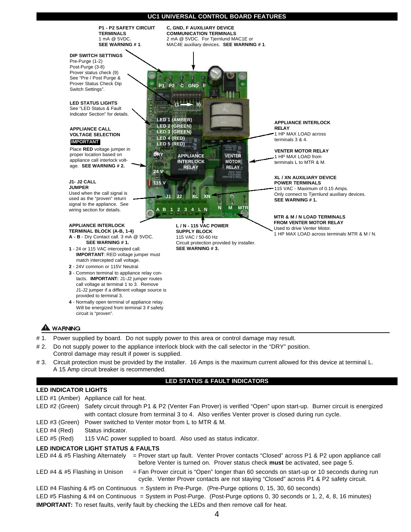#### **UC1 UNIVERSAL CONTROL BOARD FEATURES**



A 15 Amp circuit breaker is recommended.

#### **LED STATUS & FAULT INDICATORS**

## **LED INDICATOR LIGHTS**

- LED #1 (Amber) Appliance call for heat.
- LED #2 (Green) Safety circuit through P1 & P2 (Venter Fan Prover) is verified "Open" upon start-up. Burner circuit is energized with contact closure from terminal 3 to 4. Also verifies Venter prover is closed during run cycle.
- LED #3 (Green) Power switched to Venter motor from L to MTR & M.
- LED #4 (Red) Status indicator.
- LED #5 (Red) 115 VAC power supplied to board. Also used as status indicator.

#### **LED INDICATOR LIGHT STATUS & FAULTS**

LED #4 & #5 Flashing Alternately = Prover start up fault. Venter Prover contacts "Closed" across P1 & P2 upon appliance call before Venter is turned on. Prover status check **must** be activated, see page 5. LED  $#4 \& #5$  Flashing in Unison = Fan Prover circuit is "Open" longer than 60 seconds on start-up or 10 seconds during run cycle. Venter Prover contacts are not staying "Closed" across P1 & P2 safety circuit. LED #4 Flashing & #5 on Continuous = System in Pre-Purge. (Pre-Purge options 0, 15, 30, 60 seconds) LED #5 Flashing & #4 on Continuous = System in Post-Purge. (Post-Purge options 0, 30 seconds or 1, 2, 4, 8, 16 minutes) **IMPORTANT:** To reset faults, verify fault by checking the LEDs and then remove call for heat.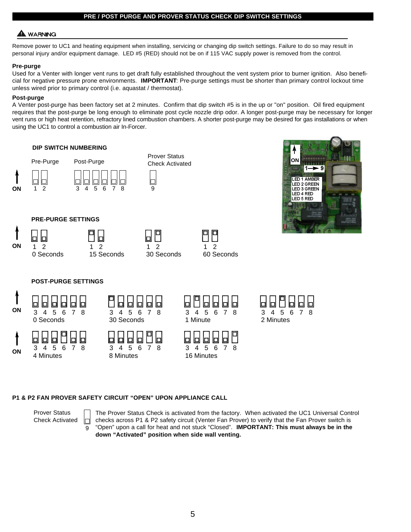#### **PRE / POST PURGE AND PROVER STATUS CHECK DIP SWITCH SETTINGS**

## **WARNING**

Remove power to UC1 and heating equipment when installing, servicing or changing dip switch settings. Failure to do so may result in personal injury and/or equipment damage. LED #5 (RED) should not be on if 115 VAC supply power is removed from the control.

#### **Pre-purge**

Used for a Venter with longer vent runs to get draft fully established throughout the vent system prior to burner ignition. Also beneficial for negative pressure prone environments. **IMPORTANT**: Pre-purge settings must be shorter than primary control lockout time unless wired prior to primary control (i.e. aquastat / thermostat).

### **Post-purge**

A Venter post-purge has been factory set at 2 minutes. Confirm that dip switch #5 is in the up or "on" position. Oil fired equipment requires that the post-purge be long enough to eliminate post cycle nozzle drip odor. A longer post-purge may be necessary for longer vent runs or high heat retention, refractory lined combustion chambers. A shorter post-purge may be desired for gas installations or when using the UC1 to control a combustion air In-Forcer.

### **DIP SWITCH NUMBERING**

**PRE-PURGE SETTINGS PRE-PURGE SETTINGS**



**ON**

**ON**



Prover Status Check Activated

 $\Box$ 





**POST-PURGE SETTINGS**



 $\mathsf{h}$ 

ol









#### **P1 & P2 FAN PROVER SAFETY CIRCUIT "OPEN" UPON APPLIANCE CALL**

b 0

Prover Status Check Activated

9

囗

The Prover Status Check is activated from the factory. When activated the UC1 Universal Control checks across P1 & P2 safety circuit (Venter Fan Prover) to verify that the Fan Prover switch is "Open" upon a call for heat and not stuck "Closed". **IMPORTANT: This must always be in the down "Activated" position when side wall venting.**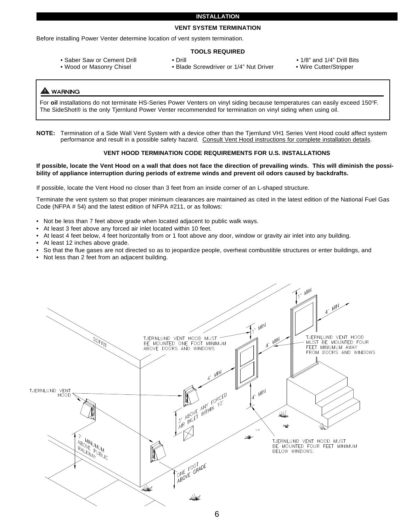#### **INSTALLATION**

#### **VENT SYSTEM TERMINATION**

Before installing Power Venter determine location of vent system termination.

#### **TOOLS REQUIRED**

- 
- 

• Saber Saw or Cement Drill • Drill • Drill • 1/8" and 1/4" Drill Bits<br>• Wood or Masonry Chisel • Blade Screwdriver or 1/4" Nut Driver • Wire Cutter/Stripper • Blade Screwdriver or 1/4" Nut Driver

- 
- 

### **WARNING**

For oil installations do not terminate HS-Series Power Venters on vinyl siding because temperatures can easily exceed 150°F. The SideShot® is the only Tjernlund Power Venter recommended for termination on vinyl siding when using oil.

**NOTE:** Termination of a Side Wall Vent System with a device other than the Tjernlund VH1 Series Vent Hood could affect system performance and result in a possible safety hazard. Consult Vent Hood instructions for complete installation details.

#### **VENT HOOD TERMINATION CODE REQUIREMENTS FOR U.S. INSTALLATIONS**

#### **If possible, locate the Vent Hood on a wall that does not face the direction of prevailing winds. This will diminish the possibility of appliance interruption during periods of extreme winds and prevent oil odors caused by backdrafts.**

If possible, locate the Vent Hood no closer than 3 feet from an inside corner of an L-shaped structure.

Terminate the vent system so that proper minimum clearances are maintained as cited in the latest edition of the National Fuel Gas Code (NFPA # 54) and the latest edition of NFPA #211, or as follows:

- Not be less than 7 feet above grade when located adjacent to public walk ways.
- At least 3 feet above any forced air inlet located within 10 feet.
- At least 4 feet below, 4 feet horizontally from or 1 foot above any door, window or gravity air inlet into any building.
- At least 12 inches above grade.
- So that the flue gases are not directed so as to jeopardize people, overheat combustible structures or enter buildings, and
- Not less than 2 feet from an adjacent building.

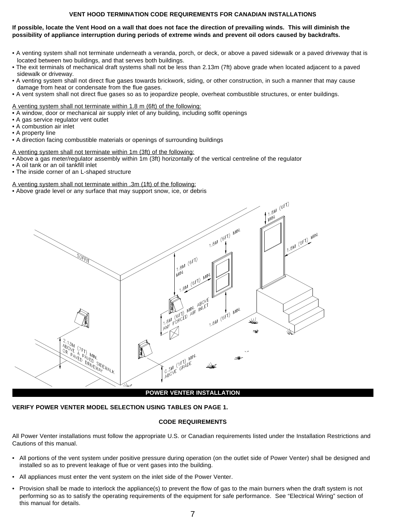## **VENT HOOD TERMINATION CODE REQUIREMENTS FOR CANADIAN INSTALLATIONS**

#### **If possible, locate the Vent Hood on a wall that does not face the direction of prevailing winds. This will diminish the**  possibility of appliance interruption during periods of extreme winds and prevent oil odors caused by backdrafts.

- A venting system shall not terminate underneath a veranda, porch, or deck, or above a paved sidewalk or a paved driveway that is located between two buildings, and that serves both buildings.
- The exit terminals of mechanical draft systems shall not be less than 2.13m (7ft) above grade when located adjacent to a paved sidewalk or driveway.
- A venting system shall not direct flue gases towards brickwork, siding, or other construction, in such a manner that may cause damage from heat or condensate from the flue gases.
- A vent system shall not direct flue gases so as to jeopardize people, overheat combustible structures, or enter buildings.

A venting system shall not terminate within 1.8 m (6ft) of the following:

- A window, door or mechanical air supply inlet of any building, including soffit openings
- A gas service regulator vent outlet
- A combustion air inlet
- A property line
- A direction facing combustible materials or openings of surrounding buildings

A venting system shall not terminate within 1m (3ft) of the following:

- Above a gas meter/regulator assembly within 1m (3ft) horizontally of the vertical centreline of the regulator
- A oil tank or an oil tankfill inlet
- The inside corner of an L-shaped structure

#### A venting system shall not terminate within .3m (1ft) of the following:

• Above grade level or any surface that may support snow, ice, or debris



#### **VERIFY POWER VENTER MODEL SELECTION USING TABLES ON PAGE 1.**

#### **CODE REQUIREMENTS**

All Power Venter installations must follow the appropriate U.S. or Canadian requirements listed under the Installation Restrictions and Cautions of this manual.

- All portions of the vent system under positive pressure during operation (on the outlet side of Power Venter) shall be designed and installed so as to prevent leakage of flue or vent gases into the building.
- All appliances must enter the vent system on the inlet side of the Power Venter.
- Provision shall be made to interlock the appliance(s) to prevent the flow of gas to the main burners when the draft system is not performing so as to satisfy the operating requirements of the equipment for safe performance. See "Electrical Wiring" section of this manual for details.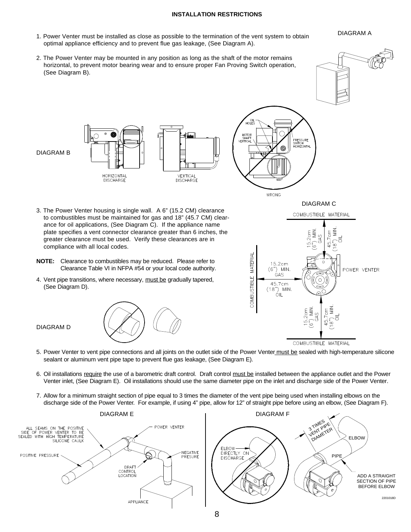### **INSTALLATION RESTRICTIONS**

DIAGRAM A

- 1. Power Venter must be installed as close as possible to the termination of the vent system to obtain optimal appliance efficiency and to prevent flue gas leakage, (See Diagram A).
- 2. The Power Venter may be mounted in any position as long as the shaft of the motor remains horizontal, to prevent motor bearing wear and to ensure proper Fan Proving Switch operation, (See Diagram B).





- 3. The Power Venter housing is single wall. A 6" (15.2 CM) clearance to combustibles must be maintained for gas and 18" (45.7 CM) clearance for oil applications, (See Diagram C). If the appliance name plate specifies a vent connector clearance greater than 6 inches, the greater clearance must be used. Verify these clearances are in compliance with all local codes.
- **NOTE:** Clearance to combustibles may be reduced. Please refer to Clearance Table VI in NFPA #54 or your local code authority.
- 4. Vent pipe transitions, where necessary, must be gradually tapered, (See Diagram D).





- DIAGRAM D
- 5. Power Venter to vent pipe connections and all joints on the outlet side of the Power Venter must be sealed with high-temperature silicone sealant or aluminum vent pipe tape to prevent flue gas leakage, (See Diagram E).
- 6. Oil installations require the use of a barometric draft control. Draft control must be installed between the appliance outlet and the Power Venter inlet, (See Diagram E). Oil installations should use the same diameter pipe on the inlet and discharge side of the Power Venter.
- 7. Allow for a minimum straight section of pipe equal to 3 times the diameter of the vent pipe being used when installing elbows on the discharge side of the Power Venter. For example, if using 4" pipe, allow for 12" of straight pipe before using an elbow, (See Diagram F).

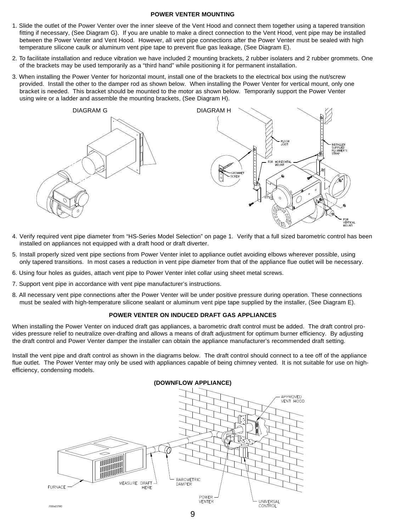#### **POWER VENTER MOUNTING**

- 1. Slide the outlet of the Power Venter over the inner sleeve of the Vent Hood and connect them together using a tapered transition fitting if necessary, (See Diagram G). If you are unable to make a direct connection to the Vent Hood, vent pipe may be installed between the Power Venter and Vent Hood. However, all vent pipe connections after the Power Venter must be sealed with high temperature silicone caulk or aluminum vent pipe tape to prevent flue gas leakage, (See Diagram E).
- 2. To facilitate installation and reduce vibration we have included 2 mounting brackets, 2 rubber isolaters and 2 rubber grommets. One of the brackets may be used temporarily as a "third hand" while positioning it for permanent installation.
- 3. When installing the Power Venter for horizontal mount, install one of the brackets to the electrical box using the nut/screw provided. Install the other to the damper rod as shown below. When installing the Power Venter for vertical mount, only one bracket is needed. This bracket should be mounted to the motor as shown below. Temporarily support the Power Venter using wire or a ladder and assemble the mounting brackets, (See Diagram H).



- 4. Verify required vent pipe diameter from "HS-Series Model Selection" on page 1. Verify that a full sized barometric control has been installed on appliances not equipped with a draft hood or draft diverter.
- 5. Install properly sized vent pipe sections from Power Venter inlet to appliance outlet avoiding elbows wherever possible, using only tapered transitions. In most cases a reduction in vent pipe diameter from that of the appliance flue outlet will be necessary.
- 6. Using four holes as guides, attach vent pipe to Power Venter inlet collar using sheet metal screws.
- 7. Support vent pipe in accordance with vent pipe manufacturer's instructions.
- 8. All necessary vent pipe connections after the Power Venter will be under positive pressure during operation. These connections must be sealed with high-temperature silicone sealant or aluminum vent pipe tape supplied by the installer, (See Diagram E).

#### **POWER VENTER ON INDUCED DRAFT GAS APPLIANCES**

When installing the Power Venter on induced draft gas appliances, a barometric draft control must be added. The draft control provides pressure relief to neutralize over-drafting and allows a means of draft adjustment for optimum burner efficiency. By adjusting the draft control and Power Venter damper the installer can obtain the appliance manufacturer's recommended draft setting.

Install the vent pipe and draft control as shown in the diagrams below. The draft control should connect to a tee off of the appliance flue outlet. The Power Venter may only be used with appliances capable of being chimney vented. It is not suitable for use on highefficiency, condensing models.

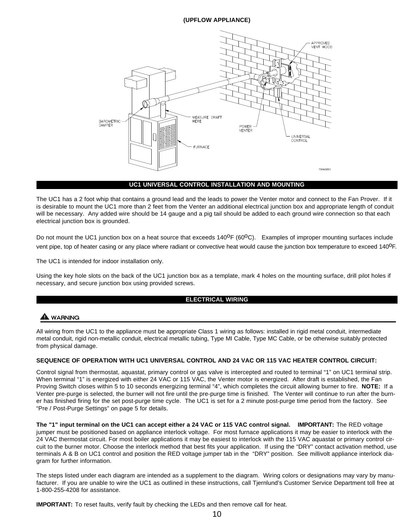## **(UPFLOW APPLIANCE)**



#### **UC1 UNIVERSAL CONTROL INSTALLATION AND MOUNTING**

The UC1 has a 2 foot whip that contains a ground lead and the leads to power the Venter motor and connect to the Fan Prover. If it is desirable to mount the UC1 more than 2 feet from the Venter an additional electrical junction box and appropriate length of conduit will be necessary. Any added wire should be 14 gauge and a pig tail should be added to each ground wire connection so that each electrical junction box is grounded.

Do not mount the UC1 junction box on a heat source that exceeds  $140^{\circ}F (60^{\circ}C)$ . Examples of improper mounting surfaces include vent pipe, top of heater casing or any place where radiant or convective heat would cause the junction box temperature to exceed 140<sup>0</sup>F.

The UC1 is intended for indoor installation only.

Using the key hole slots on the back of the UC1 junction box as a template, mark 4 holes on the mounting surface, drill pilot holes if necessary, and secure junction box using provided screws.

#### **ELECTRICAL WIRING**

## WARNING

All wiring from the UC1 to the appliance must be appropriate Class 1 wiring as follows: installed in rigid metal conduit, intermediate metal conduit, rigid non-metallic conduit, electrical metallic tubing, Type MI Cable, Type MC Cable, or be otherwise suitably protected from physical damage.

#### **SEQUENCE OF OPERATION WITH UC1 UNIVERSAL CONTROL AND 24 VAC OR 115 VAC HEATER CONTROL CIRCUIT:**

Control signal from thermostat, aquastat, primary control or gas valve is intercepted and routed to terminal "1" on UC1 terminal strip. When terminal "1" is energized with either 24 VAC or 115 VAC, the Venter motor is energized. After draft is established, the Fan Proving Switch closes within 5 to 10 seconds energizing terminal "4", which completes the circuit allowing burner to fire. **NOTE:** If a Venter pre-purge is selected, the burner will not fire until the pre-purge time is finished. The Venter will continue to run after the burner has finished firing for the set post-purge time cycle. The UC1 is set for a 2 minute post-purge time period from the factory. See "Pre / Post-Purge Settings" on page 5 for details.

**The "1" input terminal on the UC1 can accept either a 24 VAC or 115 VAC control signal. IMPORTANT:** The RED voltage jumper must be positioned based on appliance interlock voltage. For most furnace applications it may be easier to interlock with the 24 VAC thermostat circuit. For most boiler applications it may be easiest to interlock with the 115 VAC aquastat or primary control circuit to the burner motor. Choose the interlock method that best fits your application. If using the "DRY" contact activation method, use terminals A & B on UC1 control and position the RED voltage jumper tab in the "DRY" position. See millivolt appliance interlock diagram for further information.

The steps listed under each diagram are intended as a supplement to the diagram. Wiring colors or designations may vary by manufacturer. If you are unable to wire the UC1 as outlined in these instructions, call Tjernlund's Customer Service Department toll free at 1-800-255-4208 for assistance.

**IMPORTANT:** To reset faults, verify fault by checking the LEDs and then remove call for heat.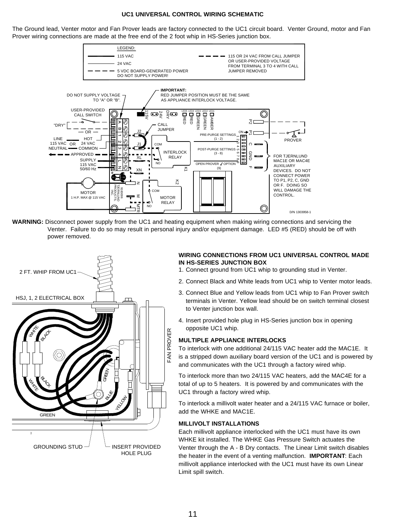#### **UC1 UNIVERSAL CONTROL WIRING SCHEMATIC**

The Ground lead, Venter motor and Fan Prover leads are factory connected to the UC1 circuit board. Venter Ground, motor and Fan Prover wiring connections are made at the free end of the 2 foot whip in HS-Series junction box.



**WARNING:** Disconnect power supply from the UC1 and heating equipment when making wiring connections and servicing the Venter. Failure to do so may result in personal injury and/or equipment damage. LED #5 (RED) should be off with power removed.



#### **WIRING CONNECTIONS FROM UC1 UNIVERSAL CONTROL MADE IN HS-SERIES JUNCTION BOX**

- 1. Connect ground from UC1 whip to grounding stud in Venter.
- 2. Connect Black and White leads from UC1 whip to Venter motor leads.
- 3. Connect Blue and Yellow leads from UC1 whip to Fan Prover switch terminals in Venter. Yellow lead should be on switch terminal closest to Venter junction box wall.
- 4. Insert provided hole plug in HS-Series junction box in opening opposite UC1 whip.

#### **MULTIPLE APPLIANCE INTERLOCKS**

To interlock with one additional 24/115 VAC heater add the MAC1E. It is a stripped down auxiliary board version of the UC1 and is powered by and communicates with the UC1 through a factory wired whip.

To interlock more than two 24/115 VAC heaters, add the MAC4E for a total of up to 5 heaters. It is powered by and communicates with the UC1 through a factory wired whip.

To interlock a millivolt water heater and a 24/115 VAC furnace or boiler, add the WHKE and MAC1E.

#### **MILLIVOLT INSTALLATIONS**

Each millivolt appliance interlocked with the UC1 must have its own WHKE kit installed. The WHKE Gas Pressure Switch actuates the Venter through the A - B Dry contacts. The Linear Limit switch disables the heater in the event of a venting malfunction. **IMPORTANT**: Each millivolt appliance interlocked with the UC1 must have its own Linear Limit spill switch.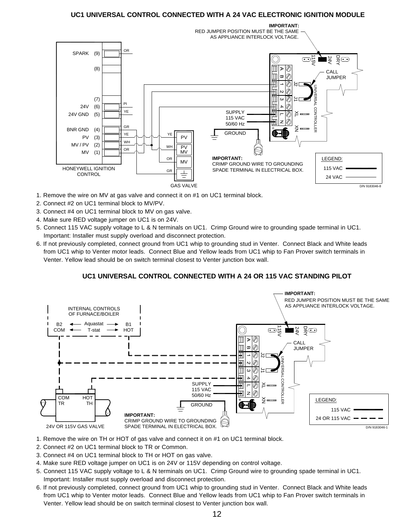## **UC1 UNIVERSAL CONTROL CONNECTED WITH A 24 VAC ELECTRONIC IGNITION MODULE**



- 1. Remove the wire on MV at gas valve and connect it on #1 on UC1 terminal block.
- 2. Connect #2 on UC1 terminal block to MV/PV.
- 3. Connect #4 on UC1 terminal block to MV on gas valve.
- 4. Make sure RED voltage jumper on UC1 is on 24V.
- 5. Connect 115 VAC supply voltage to L & N terminals on UC1. Crimp Ground wire to grounding spade terminal in UC1. Important: Installer must supply overload and disconnect protection.
- 6. If not previously completed, connect ground from UC1 whip to grounding stud in Venter. Connect Black and White leads from UC1 whip to Venter motor leads. Connect Blue and Yellow leads from UC1 whip to Fan Prover switch terminals in Venter. Yellow lead should be on switch terminal closest to Venter junction box wall.

## **UC1 UNIVERSAL CONTROL CONNECTED WITH A 24 OR 115 VAC STANDING PILOT**



- 1. Remove the wire on TH or HOT of gas valve and connect it on #1 on UC1 terminal block.
- 2. Connect #2 on UC1 terminal block to TR or Common.
- 3. Connect #4 on UC1 terminal block to TH or HOT on gas valve.
- 4. Make sure RED voltage jumper on UC1 is on 24V or 115V depending on control voltage.
- 5. Connect 115 VAC supply voltage to L & N terminals on UC1. Crimp Ground wire to grounding spade terminal in UC1. Important: Installer must supply overload and disconnect protection.
- 6. If not previously completed, connect ground from UC1 whip to grounding stud in Venter. Connect Black and White leads from UC1 whip to Venter motor leads. Connect Blue and Yellow leads from UC1 whip to Fan Prover switch terminals in Venter. Yellow lead should be on switch terminal closest to Venter junction box wall.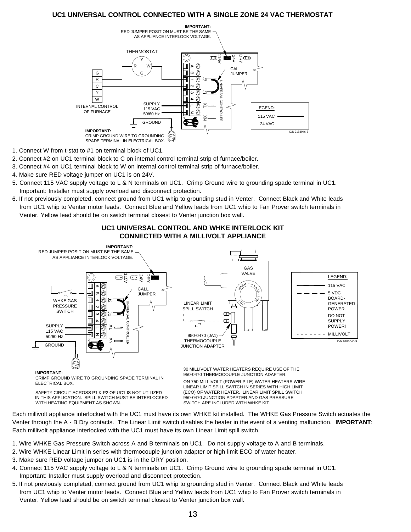## **UC1 UNIVERSAL CONTROL CONNECTED WITH A SINGLE ZONE 24 VAC THERMOSTAT**



- 1. Connect W from t-stat to #1 on terminal block of UC1.
- 2. Connect #2 on UC1 terminal block to C on internal control terminal strip of furnace/boiler.
- 3. Connect #4 on UC1 terminal block to W on internal control terminal strip of furnace/boiler.
- 4. Make sure RED voltage jumper on UC1 is on 24V.
- 5. Connect 115 VAC supply voltage to L & N terminals on UC1. Crimp Ground wire to grounding spade terminal in UC1. Important: Installer must supply overload and disconnect protection.
- 6. If not previously completed, connect ground from UC1 whip to grounding stud in Venter. Connect Black and White leads from UC1 whip to Venter motor leads. Connect Blue and Yellow leads from UC1 whip to Fan Prover switch terminals in Venter. Yellow lead should be on switch terminal closest to Venter junction box wall.



**UC1 UNIVERSAL CONTROL AND WHKE INTERLOCK KIT CONNECTED WITH A MILLIVOLT APPLIANCE** 

SAFETY CIRCUIT ACROSS P1 & P2 OF UC1 IS NOT UTILIZED ELECTRICAL BOX.

WITH HEATING EQUIPMENT AS SHOWN. IN THIS APPLICATION. SPILL SWITCH MUST BE INTERLOCKED (ECO) OF WATER HEATER. LINEAR LIMIT SPILL SWITCH, ON 750 MILLIVOLT (POWER PILE) WATER HEATERS WIRE LINEAR LIMIT SPILL SWITCH IN SERIES WITH HIGH LIMIT 950-0470 JUNCTION ADAPTER AND GAS PRESSURE SWITCH ARE INCLUDED WITH WHKE KIT.

Each millivolt appliance interlocked with the UC1 must have its own WHKE kit installed. The WHKE Gas Pressure Switch actuates the Venter through the A - B Dry contacts. The Linear Limit switch disables the heater in the event of a venting malfunction. **IMPORTANT**: Each millivolt appliance interlocked with the UC1 must have its own Linear Limit spill switch.

- 1. Wire WHKE Gas Pressure Switch across A and B terminals on UC1. Do not supply voltage to A and B terminals.
- 2. Wire WHKE Linear Limit in series with thermocouple junction adapter or high limit ECO of water heater.
- 3. Make sure RED voltage jumper on UC1 is in the DRY position.
- 4. Connect 115 VAC supply voltage to L & N terminals on UC1. Crimp Ground wire to grounding spade terminal in UC1. Important: Installer must supply overload and disconnect protection.
- 5. If not previously completed, connect ground from UC1 whip to grounding stud in Venter. Connect Black and White leads from UC1 whip to Venter motor leads. Connect Blue and Yellow leads from UC1 whip to Fan Prover switch terminals in Venter. Yellow lead should be on switch terminal closest to Venter junction box wall.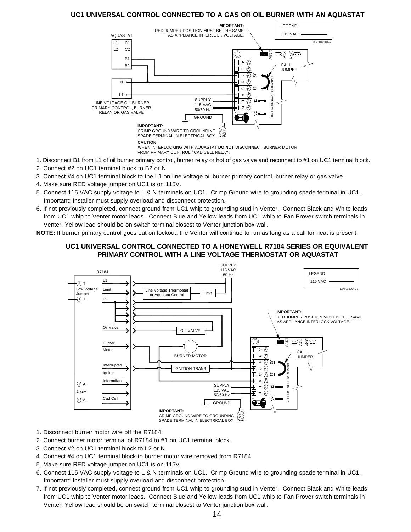## **UC1 UNIVERSAL CONTROL CONNECTED TO A GAS OR OIL BURNER WITH AN AQUASTAT**



- 1. Disconnect B1 from L1 of oil burner primary control, burner relay or hot of gas valve and reconnect to #1 on UC1 terminal block.
- 2. Connect #2 on UC1 terminal block to B2 or N.
- 3. Connect #4 on UC1 terminal block to the L1 on line voltage oil burner primary control, burner relay or gas valve.
- 4. Make sure RED voltage jumper on UC1 is on 115V.
- 5. Connect 115 VAC supply voltage to L & N terminals on UC1. Crimp Ground wire to grounding spade terminal in UC1. Important: Installer must supply overload and disconnect protection.
- 6. If not previously completed, connect ground from UC1 whip to grounding stud in Venter. Connect Black and White leads from UC1 whip to Venter motor leads. Connect Blue and Yellow leads from UC1 whip to Fan Prover switch terminals in Venter. Yellow lead should be on switch terminal closest to Venter junction box wall.

**NOTE:** If burner primary control goes out on lockout, the Venter will continue to run as long as a call for heat is present.

## **UC1 UNIVERSAL CONTROL CONNECTED TO A HONEYWELL R7184 SERIES OR EQUIVALENT PRIMARY CONTROL WITH A LINE VOLTAGE THERMOSTAT OR AQUASTAT**



- 1. Disconnect burner motor wire off the R7184.
- 2. Connect burner motor terminal of R7184 to #1 on UC1 terminal block.
- 3. Connect #2 on UC1 terminal block to L2 or N.
- 4. Connect #4 on UC1 terminal block to burner motor wire removed from R7184.
- 5. Make sure RED voltage jumper on UC1 is on 115V.
- 6. Connect 115 VAC supply voltage to L & N terminals on UC1. Crimp Ground wire to grounding spade terminal in UC1. Important: Installer must supply overload and disconnect protection.
- 7. If not previously completed, connect ground from UC1 whip to grounding stud in Venter. Connect Black and White leads from UC1 whip to Venter motor leads. Connect Blue and Yellow leads from UC1 whip to Fan Prover switch terminals in Venter. Yellow lead should be on switch terminal closest to Venter junction box wall.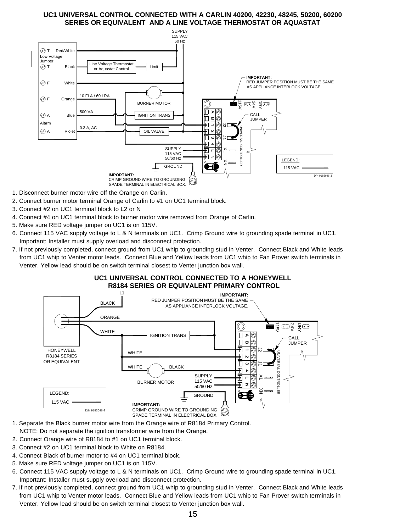## **UC1 UNIVERSAL CONTROL CONNECTED WITH A CARLIN 40200, 42230, 48245, 50200, 60200 SERIES OR EQUIVALENT AND A LINE VOLTAGE THERMOSTAT OR AQUASTAT**



- 1. Disconnect burner motor wire off the Orange on Carlin.
- 2. Connect burner motor terminal Orange of Carlin to #1 on UC1 terminal block.
- 3. Connect #2 on UC1 terminal block to L2 or N
- 4. Connect #4 on UC1 terminal block to burner motor wire removed from Orange of Carlin.
- 5. Make sure RED voltage jumper on UC1 is on 115V.
- 6. Connect 115 VAC supply voltage to L & N terminals on UC1. Crimp Ground wire to grounding spade terminal in UC1. Important: Installer must supply overload and disconnect protection.
- 7. If not previously completed, connect ground from UC1 whip to grounding stud in Venter. Connect Black and White leads from UC1 whip to Venter motor leads. Connect Blue and Yellow leads from UC1 whip to Fan Prover switch terminals in Venter. Yellow lead should be on switch terminal closest to Venter junction box wall.



**UC1 UNIVERSAL CONTROL CONNECTED TO A HONEYWELL**

- 1. Separate the Black burner motor wire from the Orange wire of R8184 Primary Control. NOTE: Do not separate the ignition transformer wire from the Orange.
- 2. Connect Orange wire of R8184 to #1 on UC1 terminal block.
- 3. Connect #2 on UC1 terminal block to White on R8184.
- 4. Connect Black of burner motor to #4 on UC1 terminal block.
- 5. Make sure RED voltage jumper on UC1 is on 115V.
- 6. Connect 115 VAC supply voltage to L & N terminals on UC1. Crimp Ground wire to grounding spade terminal in UC1. Important: Installer must supply overload and disconnect protection.
- 7. If not previously completed, connect ground from UC1 whip to grounding stud in Venter. Connect Black and White leads from UC1 whip to Venter motor leads. Connect Blue and Yellow leads from UC1 whip to Fan Prover switch terminals in Venter. Yellow lead should be on switch terminal closest to Venter junction box wall.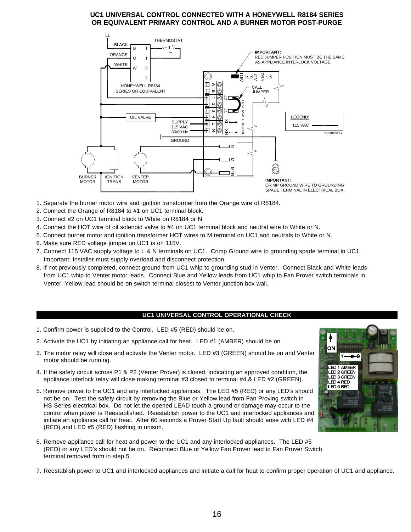## **UC1 UNIVERSAL CONTROL CONNECTED WITH A HONEYWELL R8184 SERIES OR EQUIVALENT PRIMARY CONTROL AND A BURNER MOTOR POST-PURGE**



- 1. Separate the burner motor wire and ignition transformer from the Orange wire of R8184.
- 2. Connect the Orange of R8184 to #1 on UC1 terminal block.
- 3. Connect #2 on UC1 terminal block to White on R8184 or N.
- 4. Connect the HOT wire of oil solenoid valve to #4 on UC1 terminal block and neutral wire to White or N.
- 5. Connect burner motor and ignition transformer HOT wires to M terminal on UC1 and neutrals to White or N.
- 6. Make sure RED voltage jumper on UC1 is on 115V.
- 7. Connect 115 VAC supply voltage to L & N terminals on UC1. Crimp Ground wire to grounding spade terminal in UC1. Important: Installer must supply overload and disconnect protection.
- 8. If not previously completed, connect ground from UC1 whip to grounding stud in Venter. Connect Black and White leads from UC1 whip to Venter motor leads. Connect Blue and Yellow leads from UC1 whip to Fan Prover switch terminals in Venter. Yellow lead should be on switch terminal closest to Venter junction box wall.

#### **UC1 UNIVERSAL CONTROL OPERATIONAL CHECK**

- 1. Confirm power is supplied to the Control. LED #5 (RED) should be on.
- 2. Activate the UC1 by initiating an appliance call for heat. LED #1 (AMBER) should be on.
- 3. The motor relay will close and activate the Venter motor. LED #3 (GREEN) should be on and Venter motor should be running.
- 4. If the safety circuit across P1 & P2 (Venter Prover) is closed, indicating an approved condition, the appliance interlock relay will close making terminal #3 closed to terminal #4 & LED #2 (GREEN).
- 5. Remove power to the UC1 and any interlocked appliances. The LED #5 (RED) or any LED's should not be on. Test the safety circuit by removing the Blue or Yellow lead from Fan Proving switch in HS-Series electrical box. Do not let the opened LEAD touch a ground or damage may occur to the control when power is Reestablished. Reestablish power to the UC1 and interlocked appliances and initiate an appliance call for heat. After 60 seconds a Prover Start Up fault should arise with LED #4 (RED) and LED #5 (RED) flashing in unison.
- 6. Remove appliance call for heat and power to the UC1 and any interlocked appliances. The LED #5 (RED) or any LED's should not be on. Reconnect Blue or Yellow Fan Prover lead to Fan Prover Switch terminal removed from in step 5.
- 7. Reestablish power to UC1 and interlocked appliances and initiate a call for heat to confirm proper operation of UC1 and appliance.

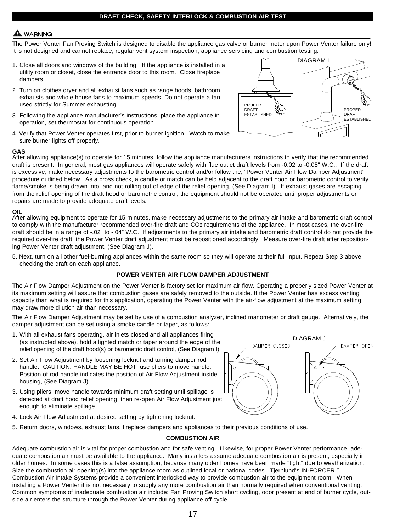#### **DRAFT CHECK, SAFETY INTERLOCK & COMBUSTION AIR TEST**

## **WARNING**

The Power Venter Fan Proving Switch is designed to disable the appliance gas valve or burner motor upon Power Venter failure only! It is not designed and cannot replace, regular vent system inspection, appliance servicing and combustion testing.

- 1. Close all doors and windows of the building. If the appliance is installed in a utility room or closet, close the entrance door to this room. Close fireplace dampers.
- 2. Turn on clothes dryer and all exhaust fans such as range hoods, bathroom exhausts and whole house fans to maximum speeds. Do not operate a fan used strictly for Summer exhausting.
- 3. Following the appliance manufacturer's instructions, place the appliance in operation, set thermostat for continuous operation.
- 4. Verify that Power Venter operates first, prior to burner ignition. Watch to make sure burner lights off properly.



#### **GAS**

After allowing appliance(s) to operate for 15 minutes, follow the appliance manufacturers instructions to verify that the recommended draft is present. In general, most gas appliances will operate safely with flue outlet draft levels from -0.02 to -0.05" W.C.. If the draft is excessive, make necessary adjustments to the barometric control and/or follow the, "Power Venter Air Flow Damper Adjustment" procedure outlined below. As a cross check, a candle or match can be held adjacent to the draft hood or barometric control to verify flame/smoke is being drawn into, and not rolling out of edge of the relief opening, (See Diagram I). If exhaust gases are escaping from the relief opening of the draft hood or barometric control, the equipment should not be operated until proper adjustments or repairs are made to provide adequate draft levels.

#### **OIL**

After allowing equipment to operate for 15 minutes, make necessary adjustments to the primary air intake and barometric draft control to comply with the manufacturer recommended over-fire draft and CO2 requirements of the appliance. In most cases, the over-fire draft should be in a range of -.02" to -.04" W.C. If adjustments to the primary air intake and barometric draft control do not provide the required over-fire draft, the Power Venter draft adjustment must be repositioned accordingly. Measure over-fire draft after repositioning Power Venter draft adjustment, (See Diagram J).

5. Next, turn on all other fuel-burning appliances within the same room so they will operate at their full input. Repeat Step 3 above, checking the draft on each appliance.

#### **POWER VENTER AIR FLOW DAMPER ADJUSTMENT**

The Air Flow Damper Adjustment on the Power Venter is factory set for maximum air flow. Operating a properly sized Power Venter at its maximum setting will assure that combustion gases are safely removed to the outside. If the Power Venter has excess venting capacity than what is required for this application, operating the Power Venter with the air-flow adjustment at the maximum setting may draw more dilution air than necessary.

The Air Flow Damper Adjustment may be set by use of a combustion analyzer, inclined manometer or draft gauge. Alternatively, the damper adjustment can be set using a smoke candle or taper, as follows:

- 1. With all exhaust fans operating, air inlets closed and all appliances firing (as instructed above), hold a lighted match or taper around the edge of the relief opening of the draft hood(s) or barometric draft control, (See Diagram I).
- 2. Set Air Flow Adjustment by loosening locknut and turning damper rod handle. CAUTION: HANDLE MAY BE HOT, use pliers to move handle. Position of rod handle indicates the position of Air Flow Adjustment inside housing, (See Diagram J).
- 3. Using pliers, move handle towards minimum draft setting until spillage is detected at draft hood relief opening, then re-open Air Flow Adjustment just enough to eliminate spillage.
- 4. Lock Air Flow Adjustment at desired setting by tightening locknut.
- 5. Return doors, windows, exhaust fans, fireplace dampers and appliances to their previous conditions of use.

#### **COMBUSTION AIR**

Adequate combustion air is vital for proper combustion and for safe venting. Likewise, for proper Power Venter performance, adequate combustion air must be available to the appliance. Many installers assume adequate combustion air is present, especially in older homes. In some cases this is a false assumption, because many older homes have been made "tight" due to weatherization. Size the combustion air opening(s) into the appliance room as outlined local or national codes. Tiernlund's IN-FORCER<sup>™</sup> Combustion Air Intake Systems provide a convenient interlocked way to provide combustion air to the equipment room. When installing a Power Venter it is not necessary to supply any more combustion air than normally required when conventional venting. Common symptoms of inadequate combustion air include: Fan Proving Switch short cycling, odor present at end of burner cycle, outside air enters the structure through the Power Venter during appliance off cycle.

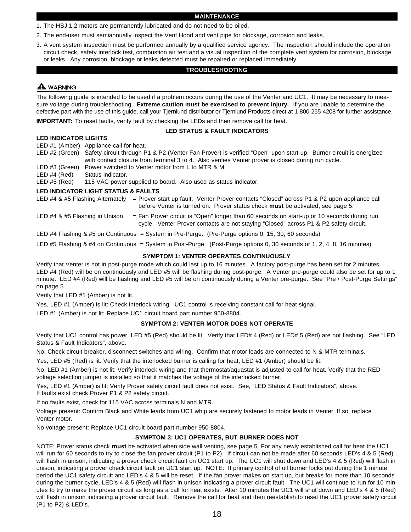#### **MAINTENANCE**

- 1. The HSJ,1,2 motors are permanently lubricated and do not need to be oiled.
- 2. The end-user must semiannually inspect the Vent Hood and vent pipe for blockage, corrosion and leaks.
- 3. A vent system inspection must be performed annually by a qualified service agency. The inspection should include the operation circuit check, safety interlock test, combustion air test and a visual inspection of the complete vent system for corrosion, blockage or leaks. Any corrosion, blockage or leaks detected must be repaired or replaced immediately.

#### **TROUBLESHOOTING**

## **A** WARNING

The following guide is intended to be used if a problem occurs during the use of the Venter and UC1. It may be necessary to measure voltage during troubleshooting. **Extreme caution must be exercised to prevent injury.** If you are unable to determine the defective part with the use of this guide, call your Tjernlund distributor or Tjernlund Products direct at 1-800-255-4208 for further assistance.

**IMPORTANT:** To reset faults, verify fault by checking the LEDs and then remove call for heat.

#### **LED STATUS & FAULT INDICATORS**

#### **LED INDICATOR LIGHTS**

LED #1 (Amber) Appliance call for heat.

LED #2 (Green) Safety circuit through P1 & P2 (Venter Fan Prover) is verified "Open" upon start-up. Burner circuit is energized with contact closure from terminal 3 to 4. Also verifies Venter prover is closed during run cycle. LED #3 (Green) Power switched to Venter motor from L to MTR & M.

LED #4 (Red) Status indicator.

LED #5 (Red) 115 VAC power supplied to board. Also used as status indicator.

#### **LED INDICATOR LIGHT STATUS & FAULTS**

| LED #4 & #5 Flashing Alternately | = Prover start up fault. Venter Prover contacts "Closed" across P1 & P2 upon appliance call<br>before Venter is turned on. Prover status check must be activated, see page 5.         |
|----------------------------------|---------------------------------------------------------------------------------------------------------------------------------------------------------------------------------------|
| LED #4 & #5 Flashing in Unison   | $=$ Fan Prover circuit is "Open" longer than 60 seconds on start-up or 10 seconds during run<br>cycle. Venter Prover contacts are not staying "Closed" across P1 & P2 safety circuit. |
|                                  | LED #4 Flashing & #5 on Continuous = System in Pre-Purge. (Pre-Purge options 0, 15, 30, 60 seconds)                                                                                   |
|                                  | LED #5 Flashing & #4 on Continuous = System in Post-Purge. (Post-Purge options 0, 30 seconds or 1, 2, 4, 8, 16 minutes)                                                               |

#### **SYMPTOM 1: VENTER OPERATES CONTINUOUSLY**

Verify that Venter is not in post-purge mode which could last up to 16 minutes. A factory post-purge has been set for 2 minutes. LED #4 (Red) will be on continuously and LED #5 will be flashing during post-purge. A Venter pre-purge could also be set for up to 1 minute. LED #4 (Red) will be flashing and LED #5 will be on continuously during a Venter pre-purge. See "Pre / Post-Purge Settings" on page 5.

Verify that LED #1 (Amber) is not lit.

Yes, LED #1 (Amber) is lit: Check interlock wiring. UC1 control is receiving constant call for heat signal.

LED #1 (Amber) is not lit: Replace UC1 circuit board part number 950-8804.

#### **SYMPTOM 2: VENTER MOTOR DOES NOT OPERATE**

Verify that UC1 control has power, LED #5 (Red) should be lit. Verify that LED# 4 (Red) or LED# 5 (Red) are not flashing. See "LED Status & Fault Indicators", above.

No: Check circuit breaker, disconnect switches and wiring. Confirm that motor leads are connected to N & MTR terminals.

Yes, LED #5 (Red) is lit: Verify that the interlocked burner is calling for heat, LED #1 (Amber) should be lit.

No, LED #1 (Amber) is not lit: Verify interlock wiring and that thermostat/aquastat is adjusted to call for heat. Verify that the RED voltage selection jumper is installed so that it matches the voltage of the interlocked burner.

Yes, LED #1 (Amber) is lit: Verify Prover safety circuit fault does not exist. See, "LED Status & Fault Indicators", above. If faults exist check Prover P1 & P2 safety circuit.

If no faults exist, check for 115 VAC across terminals N and MTR.

Voltage present: Confirm Black and White leads from UC1 whip are securely fastened to motor leads in Venter. If so, replace Venter motor.

No voltage present: Replace UC1 circuit board part number 950-8804.

#### **SYMPTOM 3: UC1 OPERATES, BUT BURNER DOES NOT**

NOTE: Prover status check **must** be activated when side wall venting, see page 5. For any newly established call for heat the UC1 will run for 60 seconds to try to close the fan prover circuit (P1 to P2). If circuit can not be made after 60 seconds LED's 4 & 5 (Red) will flash in unison, indicating a prover check circuit fault on UC1 start up. The UC1 will shut down and LED's 4 & 5 (Red) will flash in unison, indicating a prover check circuit fault on UC1 start up. NOTE: If primary control of oil burner locks out during the 1 minute period the UC1 safety circuit and LED's 4 & 5 will be reset. If the fan prover makes on start up, but breaks for more than 10 seconds during the burner cycle, LED's 4 & 5 (Red) will flash in unison indicating a prover circuit fault. The UC1 will continue to run for 10 minutes to try to make the prover circuit as long as a call for heat exists. After 10 minutes the UC1 will shut down and LED's 4 & 5 (Red) will flash in unison indicating a prover circuit fault. Remove the call for heat and then reestablish to reset the UC1 prover safety circuit (P1 to P2) & LED's.